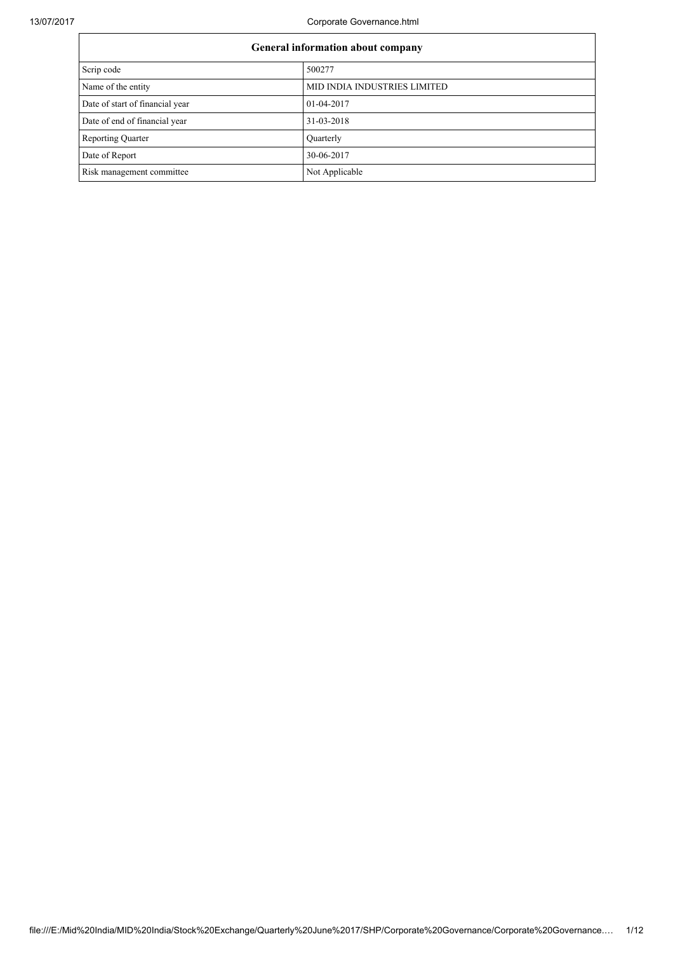13/07/2017 Corporate Governance.html

| General information about company |                              |  |  |  |
|-----------------------------------|------------------------------|--|--|--|
| Scrip code                        | 500277                       |  |  |  |
| Name of the entity                | MID INDIA INDUSTRIES LIMITED |  |  |  |
| Date of start of financial year   | 01-04-2017                   |  |  |  |
| Date of end of financial year     | 31-03-2018                   |  |  |  |
| <b>Reporting Quarter</b>          | Quarterly                    |  |  |  |
| Date of Report                    | 30-06-2017                   |  |  |  |
| Risk management committee         | Not Applicable               |  |  |  |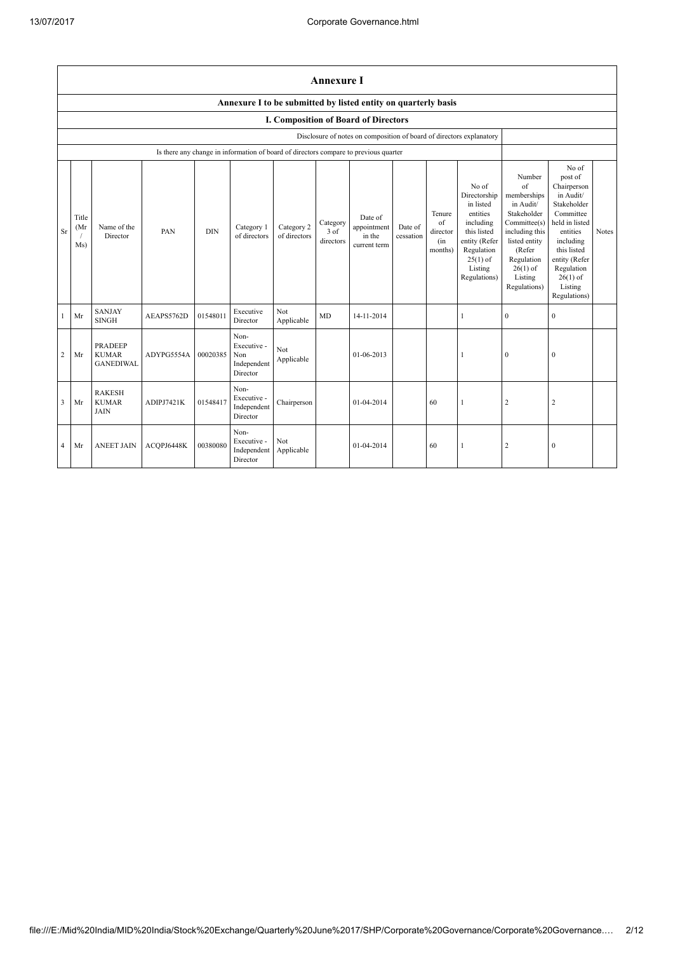|                | <b>Annexure I</b>                                              |                                                    |            |            |                                                                                      |                            |                                 |                                                                      |                      |                                            |                                                                                                                                                    |                                                                                                                                                                                     |                                                                                                                                                                                                            |       |
|----------------|----------------------------------------------------------------|----------------------------------------------------|------------|------------|--------------------------------------------------------------------------------------|----------------------------|---------------------------------|----------------------------------------------------------------------|----------------------|--------------------------------------------|----------------------------------------------------------------------------------------------------------------------------------------------------|-------------------------------------------------------------------------------------------------------------------------------------------------------------------------------------|------------------------------------------------------------------------------------------------------------------------------------------------------------------------------------------------------------|-------|
|                | Annexure I to be submitted by listed entity on quarterly basis |                                                    |            |            |                                                                                      |                            |                                 |                                                                      |                      |                                            |                                                                                                                                                    |                                                                                                                                                                                     |                                                                                                                                                                                                            |       |
|                |                                                                |                                                    |            |            |                                                                                      |                            |                                 | I. Composition of Board of Directors                                 |                      |                                            |                                                                                                                                                    |                                                                                                                                                                                     |                                                                                                                                                                                                            |       |
|                |                                                                |                                                    |            |            |                                                                                      |                            |                                 | Disclosure of notes on composition of board of directors explanatory |                      |                                            |                                                                                                                                                    |                                                                                                                                                                                     |                                                                                                                                                                                                            |       |
|                |                                                                |                                                    |            |            | Is there any change in information of board of directors compare to previous quarter |                            |                                 |                                                                      |                      |                                            |                                                                                                                                                    |                                                                                                                                                                                     |                                                                                                                                                                                                            |       |
| <b>Sr</b>      | Title<br>(Mr<br>Ms)                                            | Name of the<br>Director                            | PAN        | <b>DIN</b> | Category 1<br>of directors                                                           | Category 2<br>of directors | Category<br>$3$ of<br>directors | Date of<br>appointment<br>in the<br>current term                     | Date of<br>cessation | Tenure<br>of<br>director<br>(in<br>months) | No of<br>Directorship<br>in listed<br>entities<br>including<br>this listed<br>entity (Refer<br>Regulation<br>$25(1)$ of<br>Listing<br>Regulations) | Number<br>$\sigma$ f<br>memberships<br>in Audit/<br>Stakeholder<br>Committee(s)<br>including this<br>listed entity<br>(Refer<br>Regulation<br>$26(1)$ of<br>Listing<br>Regulations) | No of<br>post of<br>Chairperson<br>in Audit/<br>Stakeholder<br>Committee<br>held in listed<br>entities<br>including<br>this listed<br>entity (Refer<br>Regulation<br>$26(1)$ of<br>Listing<br>Regulations) | Notes |
| -1             | Mr                                                             | <b>SANJAY</b><br><b>SINGH</b>                      | AEAPS5762D | 01548011   | Executive<br>Director                                                                | Not<br>Applicable          | MD                              | 14-11-2014                                                           |                      |                                            | 1                                                                                                                                                  | $\mathbf{0}$                                                                                                                                                                        | $\mathbf{0}$                                                                                                                                                                                               |       |
| 2              | Mr                                                             | <b>PRADEEP</b><br><b>KUMAR</b><br><b>GANEDIWAL</b> | ADYPG5554A | 00020385   | Non-<br>Executive -<br>Non<br>Independent<br>Director                                | Not<br>Applicable          |                                 | 01-06-2013                                                           |                      |                                            |                                                                                                                                                    | $\mathbf{0}$                                                                                                                                                                        | $\mathbf{0}$                                                                                                                                                                                               |       |
| 3              | Mr                                                             | <b>RAKESH</b><br><b>KUMAR</b><br><b>JAIN</b>       | ADIPJ7421K | 01548417   | Non-<br>Executive -<br>Independent<br>Director                                       | Chairperson                |                                 | 01-04-2014                                                           |                      | 60                                         | 1                                                                                                                                                  | $\sqrt{2}$                                                                                                                                                                          | $\overline{c}$                                                                                                                                                                                             |       |
| $\overline{4}$ | Mr                                                             | <b>ANEET JAIN</b>                                  | ACOPJ6448K | 00380080   | Non-<br>Executive -<br>Independent<br>Director                                       | Not.<br>Applicable         |                                 | 01-04-2014                                                           |                      | 60                                         | 1                                                                                                                                                  | $\overline{c}$                                                                                                                                                                      | $\mathbf{0}$                                                                                                                                                                                               |       |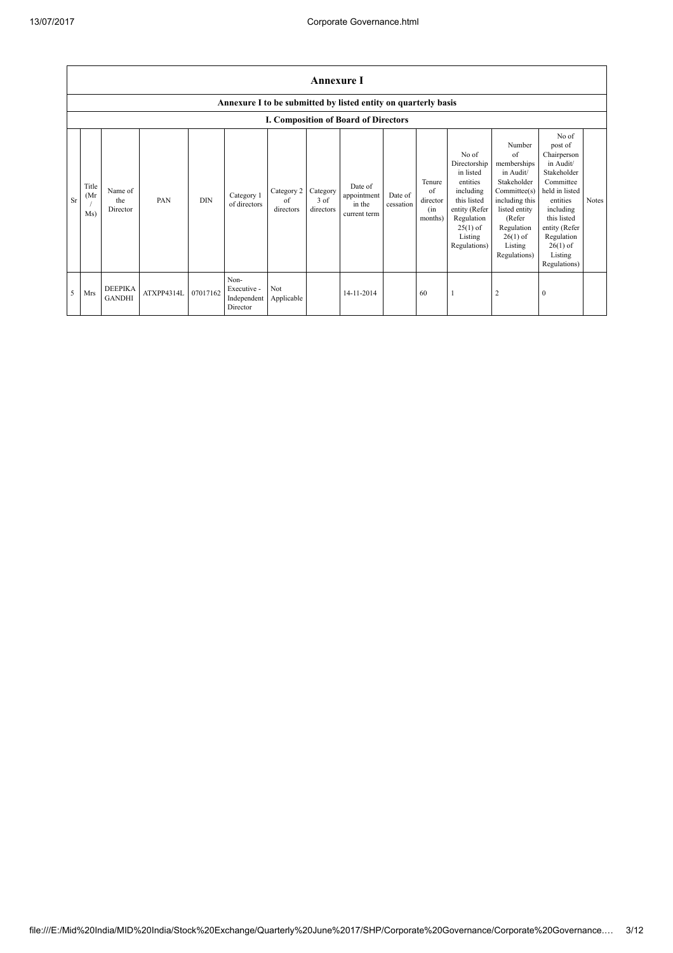|           | <b>Annexure I</b>    |                                 |            |            |                                                |                               |                               |                                                                |                      |                                            |                                                                                                                                                    |                                                                                                                                                                             |                                                                                                                                                                                                            |       |
|-----------|----------------------|---------------------------------|------------|------------|------------------------------------------------|-------------------------------|-------------------------------|----------------------------------------------------------------|----------------------|--------------------------------------------|----------------------------------------------------------------------------------------------------------------------------------------------------|-----------------------------------------------------------------------------------------------------------------------------------------------------------------------------|------------------------------------------------------------------------------------------------------------------------------------------------------------------------------------------------------------|-------|
|           |                      |                                 |            |            |                                                |                               |                               | Annexure I to be submitted by listed entity on quarterly basis |                      |                                            |                                                                                                                                                    |                                                                                                                                                                             |                                                                                                                                                                                                            |       |
|           |                      |                                 |            |            |                                                |                               |                               | <b>I. Composition of Board of Directors</b>                    |                      |                                            |                                                                                                                                                    |                                                                                                                                                                             |                                                                                                                                                                                                            |       |
| <b>Sr</b> | Title<br>(Mr)<br>Ms) | Name of<br>the<br>Director      | PAN        | <b>DIN</b> | Category 1<br>of directors                     | Category 2<br>of<br>directors | Category<br>3 of<br>directors | Date of<br>appointment<br>in the<br>current term               | Date of<br>cessation | Tenure<br>of<br>director<br>(in<br>months) | No of<br>Directorship<br>in listed<br>entities<br>including<br>this listed<br>entity (Refer<br>Regulation<br>$25(1)$ of<br>Listing<br>Regulations) | Number<br>of<br>memberships<br>in Audit/<br>Stakeholder<br>Committee(s)<br>including this<br>listed entity<br>(Refer<br>Regulation<br>$26(1)$ of<br>Listing<br>Regulations) | No of<br>post of<br>Chairperson<br>in Audit/<br>Stakeholder<br>Committee<br>held in listed<br>entities<br>including<br>this listed<br>entity (Refer<br>Regulation<br>$26(1)$ of<br>Listing<br>Regulations) | Notes |
| 5         | Mrs                  | <b>DEEPIKA</b><br><b>GANDHI</b> | ATXPP4314L | 07017162   | Non-<br>Executive -<br>Independent<br>Director | Not<br>Applicable             |                               | 14-11-2014                                                     |                      | 60                                         |                                                                                                                                                    | $\overline{2}$                                                                                                                                                              | $\mathbf{0}$                                                                                                                                                                                               |       |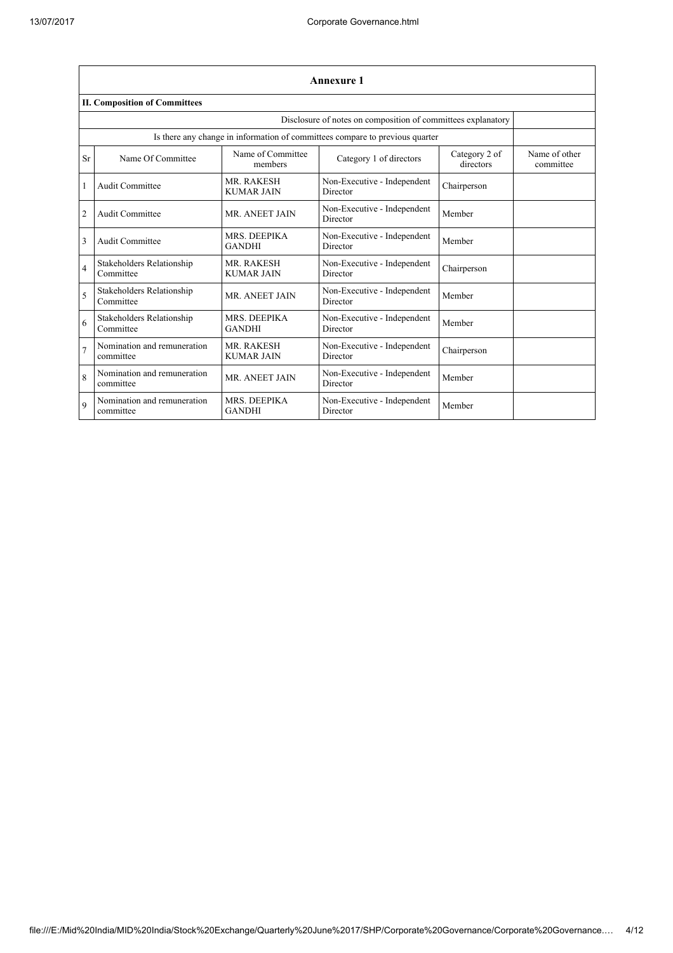|                | <b>Annexure 1</b>                                            |                                        |                                                                              |                            |                            |  |  |  |
|----------------|--------------------------------------------------------------|----------------------------------------|------------------------------------------------------------------------------|----------------------------|----------------------------|--|--|--|
|                | <b>II. Composition of Committees</b>                         |                                        |                                                                              |                            |                            |  |  |  |
|                | Disclosure of notes on composition of committees explanatory |                                        |                                                                              |                            |                            |  |  |  |
|                |                                                              |                                        | Is there any change in information of committees compare to previous quarter |                            |                            |  |  |  |
| Sr             | Name Of Committee                                            | Name of Committee<br>members           | Category 1 of directors                                                      | Category 2 of<br>directors | Name of other<br>committee |  |  |  |
|                | Audit Committee                                              | <b>MR. RAKESH</b><br><b>KUMAR JAIN</b> | Non-Executive - Independent<br>Director                                      | Chairperson                |                            |  |  |  |
| $\overline{2}$ | Audit Committee                                              | MR. ANEET JAIN                         | Non-Executive - Independent<br>Director                                      | Member                     |                            |  |  |  |
| 3              | Audit Committee                                              | MRS. DEEPIKA<br><b>GANDHI</b>          | Non-Executive - Independent<br>Director                                      | Member                     |                            |  |  |  |
| $\overline{4}$ | Stakeholders Relationship<br>Committee                       | <b>MR. RAKESH</b><br><b>KUMAR JAIN</b> | Non-Executive - Independent<br>Director                                      | Chairperson                |                            |  |  |  |
| 5              | Stakeholders Relationship<br>Committee                       | <b>MR. ANEET JAIN</b>                  | Non-Executive - Independent<br>Director                                      | Member                     |                            |  |  |  |
| 6              | Stakeholders Relationship<br>Committee                       | MRS. DEEPIKA<br><b>GANDHI</b>          | Non-Executive - Independent<br>Director                                      | Member                     |                            |  |  |  |
| $\overline{7}$ | Nomination and remuneration<br>committee                     | <b>MR. RAKESH</b><br><b>KUMAR JAIN</b> | Non-Executive - Independent<br>Director                                      | Chairperson                |                            |  |  |  |
| 8              | Nomination and remuneration<br>committee                     | MR. ANEET JAIN                         | Non-Executive - Independent<br>Director                                      | Member                     |                            |  |  |  |
| $\mathbf Q$    | Nomination and remuneration<br>committee                     | MRS. DEEPIKA<br><b>GANDHI</b>          | Non-Executive - Independent<br>Director                                      | Member                     |                            |  |  |  |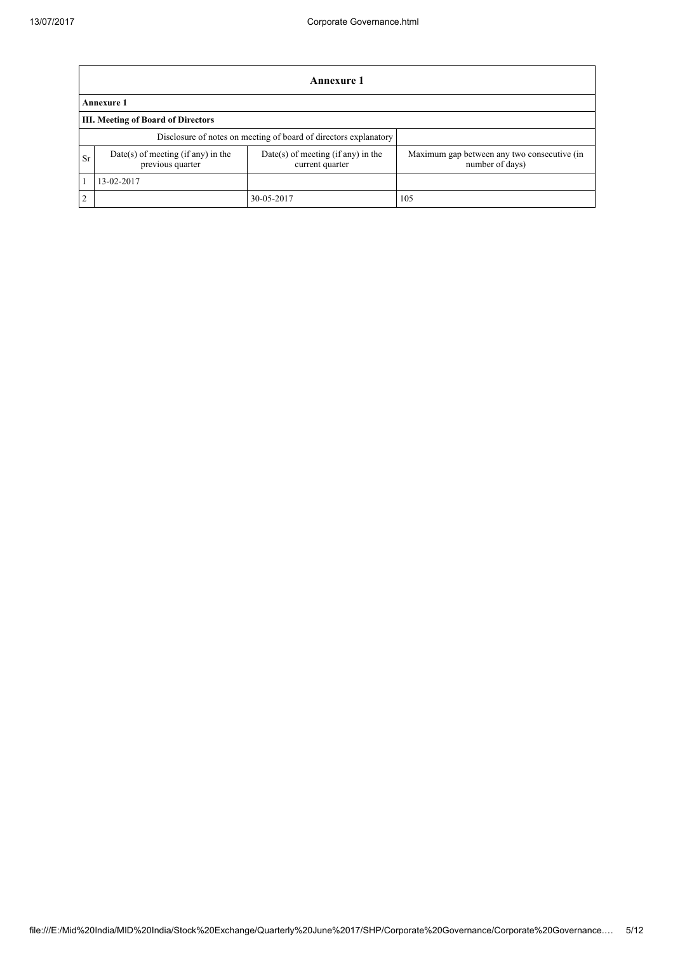|                | <b>Annexure 1</b>                                                |                                                       |                                                                |  |  |  |  |  |
|----------------|------------------------------------------------------------------|-------------------------------------------------------|----------------------------------------------------------------|--|--|--|--|--|
|                | <b>Annexure 1</b>                                                |                                                       |                                                                |  |  |  |  |  |
|                | <b>III. Meeting of Board of Directors</b>                        |                                                       |                                                                |  |  |  |  |  |
|                | Disclosure of notes on meeting of board of directors explanatory |                                                       |                                                                |  |  |  |  |  |
| Sr             | Date(s) of meeting (if any) in the<br>previous quarter           | Date(s) of meeting (if any) in the<br>current quarter | Maximum gap between any two consecutive (in<br>number of days) |  |  |  |  |  |
|                | 13-02-2017                                                       |                                                       |                                                                |  |  |  |  |  |
| $\overline{2}$ |                                                                  | 30-05-2017                                            | 105                                                            |  |  |  |  |  |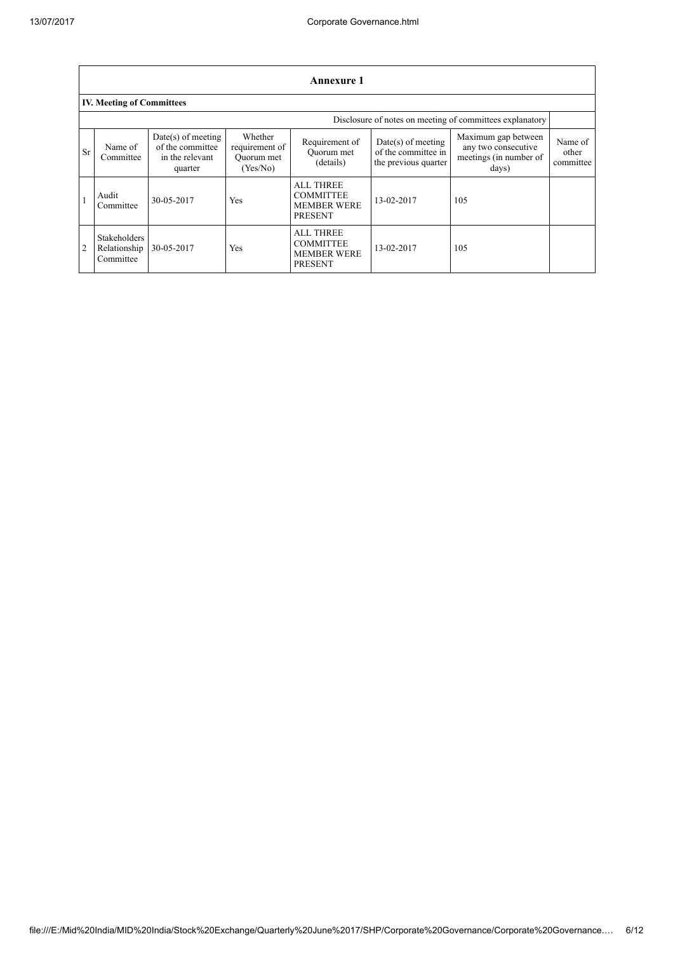|                | Annexure 1                                               |                                                                        |                                                     |                                                                              |                                                                     |                                                                               |                               |  |  |
|----------------|----------------------------------------------------------|------------------------------------------------------------------------|-----------------------------------------------------|------------------------------------------------------------------------------|---------------------------------------------------------------------|-------------------------------------------------------------------------------|-------------------------------|--|--|
|                | <b>IV. Meeting of Committees</b>                         |                                                                        |                                                     |                                                                              |                                                                     |                                                                               |                               |  |  |
|                | Disclosure of notes on meeting of committees explanatory |                                                                        |                                                     |                                                                              |                                                                     |                                                                               |                               |  |  |
| <b>Sr</b>      | Name of<br>Committee                                     | $Date(s)$ of meeting<br>of the committee<br>in the relevant<br>quarter | Whether<br>requirement of<br>Ouorum met<br>(Yes/No) | Requirement of<br>Ouorum met<br>(details)                                    | $Date(s)$ of meeting<br>of the committee in<br>the previous quarter | Maximum gap between<br>any two consecutive<br>meetings (in number of<br>days) | Name of<br>other<br>committee |  |  |
|                | Audit<br>Committee                                       | 30-05-2017                                                             | Yes                                                 | <b>ALL THREE</b><br><b>COMMITTEE</b><br><b>MEMBER WERE</b><br><b>PRESENT</b> | 13-02-2017                                                          | 105                                                                           |                               |  |  |
| $\overline{2}$ | <b>Stakeholders</b><br>Relationship<br>Committee         | 30-05-2017                                                             | Yes                                                 | <b>ALL THREE</b><br><b>COMMITTEE</b><br><b>MEMBER WERE</b><br><b>PRESENT</b> | 13-02-2017                                                          | 105                                                                           |                               |  |  |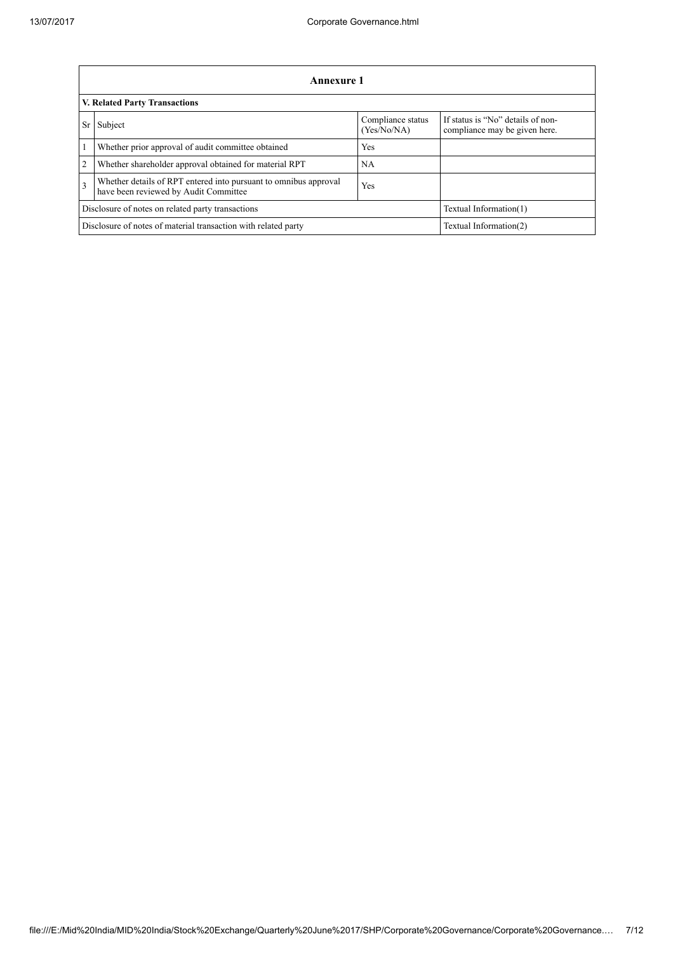|                | <b>Annexure 1</b>                                                                                         |                                  |                                                                    |  |  |  |  |  |
|----------------|-----------------------------------------------------------------------------------------------------------|----------------------------------|--------------------------------------------------------------------|--|--|--|--|--|
|                | V. Related Party Transactions                                                                             |                                  |                                                                    |  |  |  |  |  |
| <b>Sr</b>      | Subject                                                                                                   | Compliance status<br>(Yes/No/NA) | If status is "No" details of non-<br>compliance may be given here. |  |  |  |  |  |
|                | Whether prior approval of audit committee obtained                                                        | Yes                              |                                                                    |  |  |  |  |  |
| $\overline{2}$ | Whether shareholder approval obtained for material RPT                                                    | NA.                              |                                                                    |  |  |  |  |  |
| $\overline{3}$ | Whether details of RPT entered into pursuant to omnibus approval<br>have been reviewed by Audit Committee | Yes                              |                                                                    |  |  |  |  |  |
|                | Disclosure of notes on related party transactions                                                         | Textual Information(1)           |                                                                    |  |  |  |  |  |
|                | Disclosure of notes of material transaction with related party<br>Textual Information(2)                  |                                  |                                                                    |  |  |  |  |  |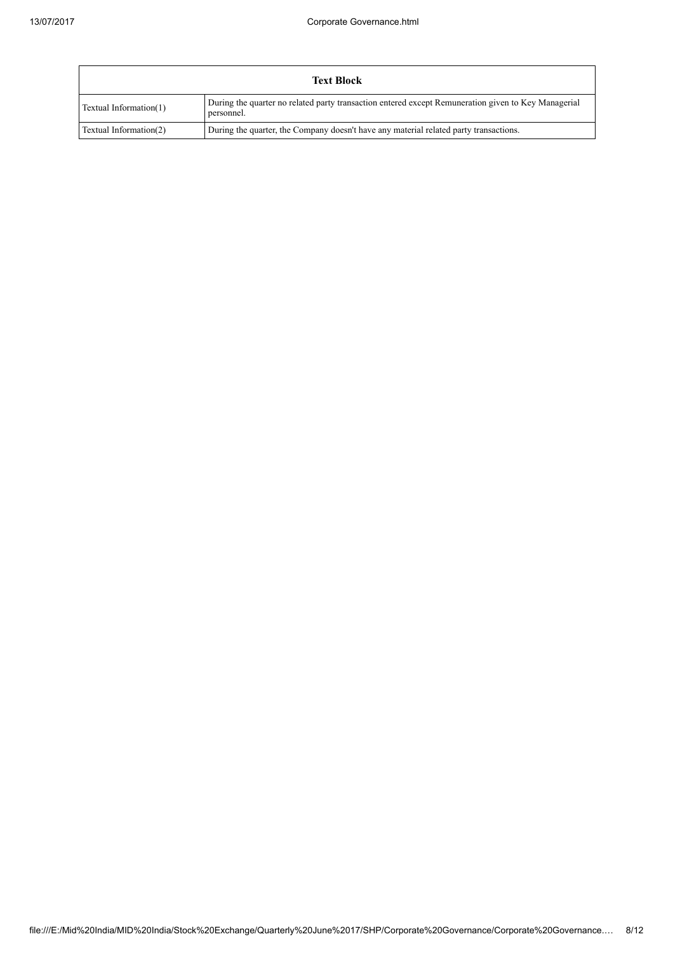| <b>Text Block</b>      |                                                                                                                   |  |  |  |  |
|------------------------|-------------------------------------------------------------------------------------------------------------------|--|--|--|--|
| Textual Information(1) | During the quarter no related party transaction entered except Remuneration given to Key Managerial<br>personnel. |  |  |  |  |
| Textual Information(2) | During the quarter, the Company doesn't have any material related party transactions.                             |  |  |  |  |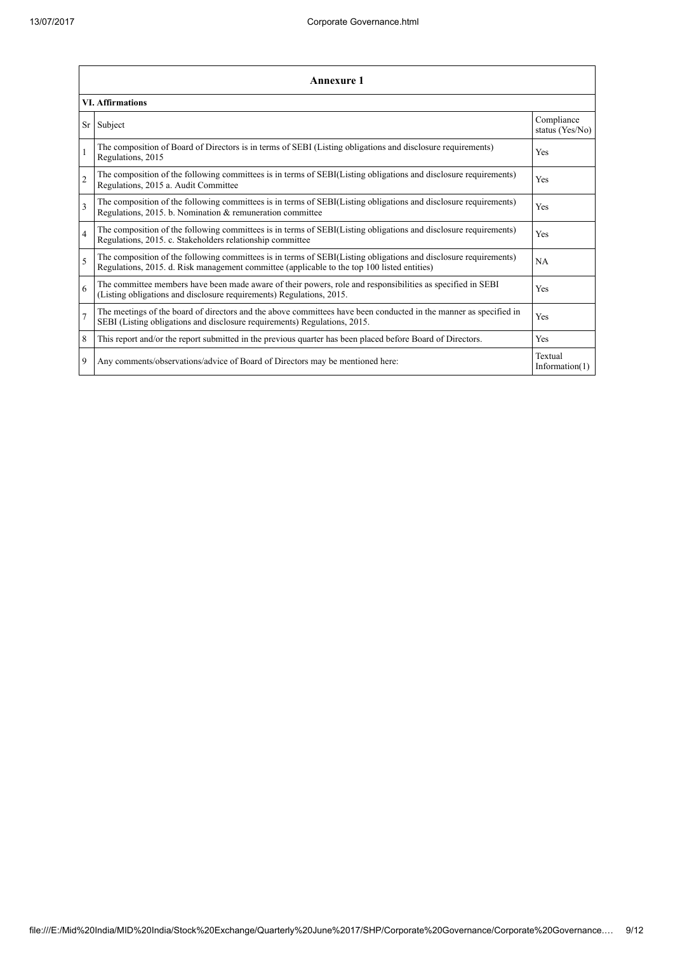|                | <b>Annexure 1</b>                                                                                                                                                                                               |                               |
|----------------|-----------------------------------------------------------------------------------------------------------------------------------------------------------------------------------------------------------------|-------------------------------|
|                | <b>VI. Affirmations</b>                                                                                                                                                                                         |                               |
| Sr             | Subject                                                                                                                                                                                                         | Compliance<br>status (Yes/No) |
| $\mathbf{1}$   | The composition of Board of Directors is in terms of SEBI (Listing obligations and disclosure requirements)<br>Regulations, 2015                                                                                | Yes                           |
| $\overline{2}$ | The composition of the following committees is in terms of SEBI(Listing obligations and disclosure requirements)<br>Regulations, 2015 a. Audit Committee                                                        | <b>Yes</b>                    |
| $\overline{3}$ | The composition of the following committees is in terms of SEBI(Listing obligations and disclosure requirements)<br>Regulations, 2015. b. Nomination & remuneration committee                                   | Yes                           |
| $\overline{4}$ | The composition of the following committees is in terms of SEBI(Listing obligations and disclosure requirements)<br>Regulations, 2015. c. Stakeholders relationship committee                                   | Yes                           |
| 5              | The composition of the following committees is in terms of SEBI(Listing obligations and disclosure requirements)<br>Regulations, 2015. d. Risk management committee (applicable to the top 100 listed entities) | NA                            |
| 6              | The committee members have been made aware of their powers, role and responsibilities as specified in SEBI<br>(Listing obligations and disclosure requirements) Regulations, 2015.                              | Yes                           |
| $\overline{7}$ | The meetings of the board of directors and the above committees have been conducted in the manner as specified in<br>SEBI (Listing obligations and disclosure requirements) Regulations, 2015.                  | Yes                           |
| 8              | This report and/or the report submitted in the previous quarter has been placed before Board of Directors.                                                                                                      | Yes                           |
| 9              | Any comments/observations/advice of Board of Directors may be mentioned here:                                                                                                                                   | Textual<br>Information $(1)$  |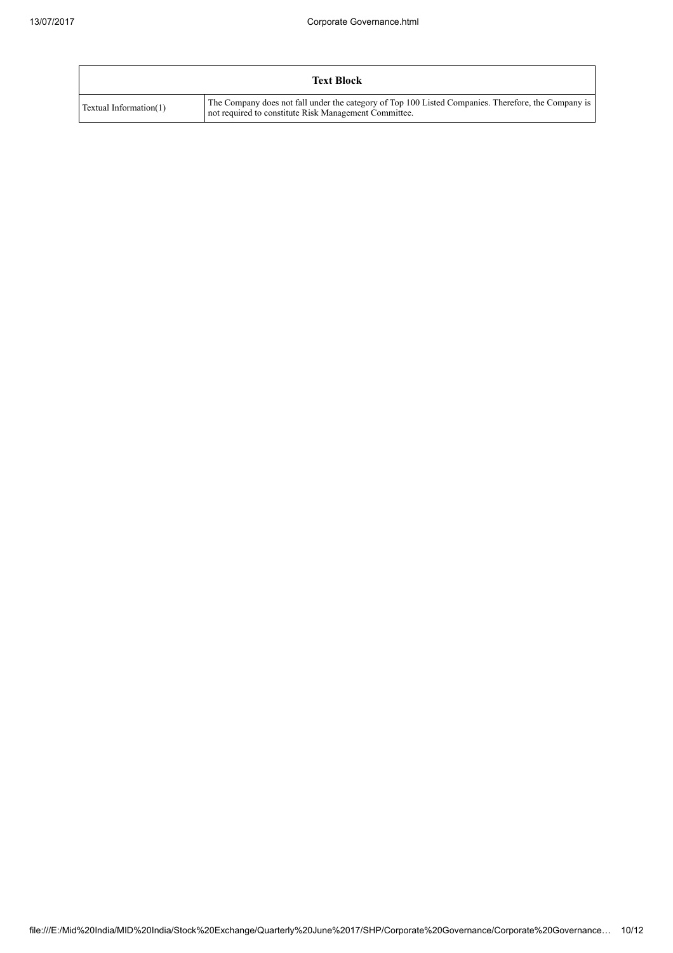|                        | <b>Text Block</b>                                                                                                                                            |
|------------------------|--------------------------------------------------------------------------------------------------------------------------------------------------------------|
| Textual Information(1) | The Company does not fall under the category of Top 100 Listed Companies. Therefore, the Company is<br>not required to constitute Risk Management Committee. |